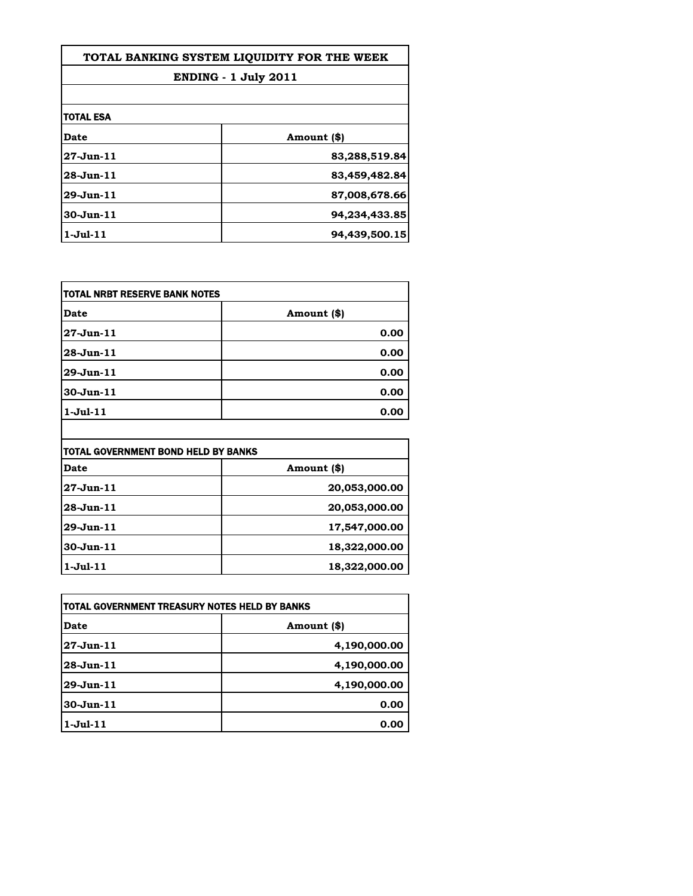| TOTAL BANKING SYSTEM LIOUIDITY FOR THE WEEK |               |
|---------------------------------------------|---------------|
| <b>ENDING - 1 July 2011</b>                 |               |
|                                             |               |
| <b>TOTAL ESA</b>                            |               |
| Date                                        | Amount (\$)   |
| $27 - Jun - 11$                             | 83,288,519.84 |
| $28 - Jun.11$                               | 83,459,482.84 |
| 29-Jun-11                                   | 87,008,678.66 |
| $30 - Jun - 11$                             | 94,234,433.85 |
| $1$ -Jul- $11$                              | 94,439,500.15 |

| <b>TOTAL NRBT RESERVE BANK NOTES</b> |             |
|--------------------------------------|-------------|
| <b>Date</b>                          | Amount (\$) |
| 27-Jun-11                            | 0.00        |
| 28-Jun-11                            | 0.00        |
| 29-Jun-11                            | 0.00        |
| 30-Jun-11                            | 0.00        |
| $1-Jul-11$                           | 0.00        |

| TOTAL GOVERNMENT BOND HELD BY BANKS |               |
|-------------------------------------|---------------|
| Date                                | Amount (\$)   |
| $27 - Jun - 11$                     | 20,053,000.00 |
| $28 - Jun - 11$                     | 20,053,000.00 |
| $29$ -Jun $-11$                     | 17,547,000.00 |
| $30 - Jun-11$                       | 18,322,000.00 |
| $1$ -Jul- $11$                      | 18,322,000.00 |

| TOTAL GOVERNMENT TREASURY NOTES HELD BY BANKS |              |
|-----------------------------------------------|--------------|
| Date                                          | Amount (\$)  |
| $27 - Jun - 11$                               | 4,190,000.00 |
| $28$ -Jun $-11$                               | 4,190,000.00 |
| $29$ -Jun $-11$                               | 4,190,000.00 |
| $30 - Jun - 11$                               | 0.00         |
| $1-Jul-11$                                    | 0.00         |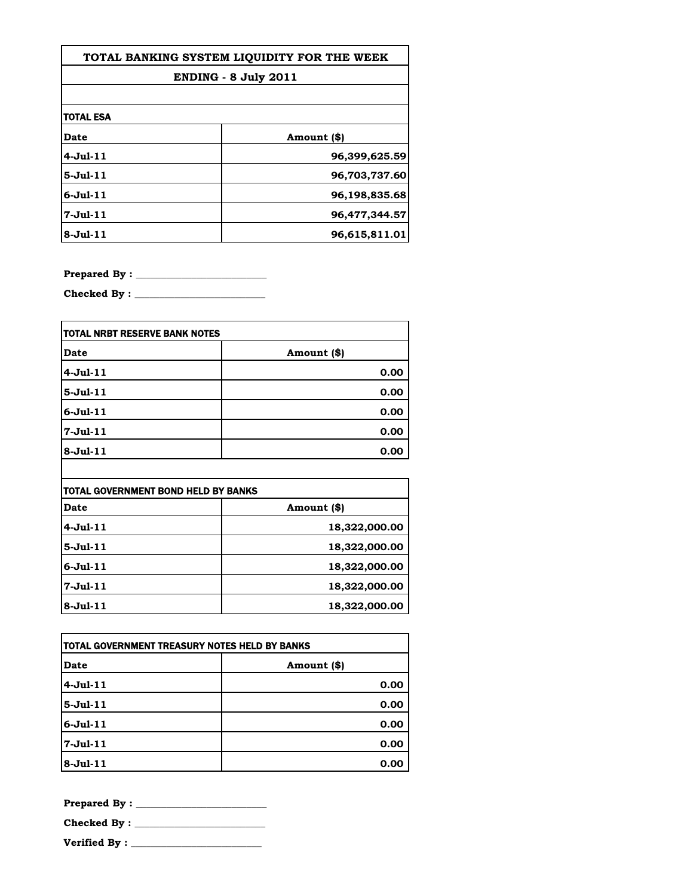| TOTAL BANKING SYSTEM LIOUIDITY FOR THE WEEK |               |
|---------------------------------------------|---------------|
| <b>ENDING - 8 July 2011</b>                 |               |
|                                             |               |
| <b>TOTAL ESA</b>                            |               |
| Date                                        | Amount (\$)   |
| $4-Jul-11$                                  | 96,399,625.59 |
| $5 -$ Jul $-11$                             | 96,703,737.60 |
| $6 -$ Jul $-11$                             | 96,198,835.68 |
| $7 -$ Jul $-11$                             | 96,477,344.57 |
| $8 - Ju1 - 11$                              | 96,615,811.01 |

**Prepared By : \_\_\_\_\_\_\_\_\_\_\_\_\_\_\_\_\_\_\_\_\_\_\_\_\_\_**

**Checked By : \_\_\_\_\_\_\_\_\_\_\_\_\_\_\_\_\_\_\_\_\_\_\_\_\_\_**

| TOTAL NRBT RESERVE BANK NOTES |             |
|-------------------------------|-------------|
| Date                          | Amount (\$) |
| $4-Jul-11$                    | 0.00        |
| $5-Jul-11$                    | 0.00        |
| $6$ -Jul- $11$                | 0.00        |
| $7 - Jul - 11$                | 0.00        |
| $8-Jul-11$                    | 0.00        |

| TOTAL GOVERNMENT BOND HELD BY BANKS |               |
|-------------------------------------|---------------|
| Date                                | Amount (\$)   |
| $4-Jul-11$                          | 18,322,000.00 |
| $5-Jul-11$                          | 18,322,000.00 |
| $6 -$ Jul $-11$                     | 18,322,000.00 |
| $7 -$ Jul $-11$                     | 18,322,000.00 |
| $8-Jul-11$                          | 18,322,000.00 |

| TOTAL GOVERNMENT TREASURY NOTES HELD BY BANKS |             |
|-----------------------------------------------|-------------|
| Date                                          | Amount (\$) |
| $4-Jul-11$                                    | 0.00        |
| $5-Jul-11$                                    | 0.00        |
| $6$ -Jul- $11$                                | 0.00        |
| 7-Jul-11                                      | 0.00        |
| $8-Jul-11$                                    | 0.00        |

**Prepared By : \_\_\_\_\_\_\_\_\_\_\_\_\_\_\_\_\_\_\_\_\_\_\_\_\_\_ Checked By : \_\_\_\_\_\_\_\_\_\_\_\_\_\_\_\_\_\_\_\_\_\_\_\_\_\_**

**Verified By : \_\_\_\_\_\_\_\_\_\_\_\_\_\_\_\_\_\_\_\_\_\_\_\_\_\_**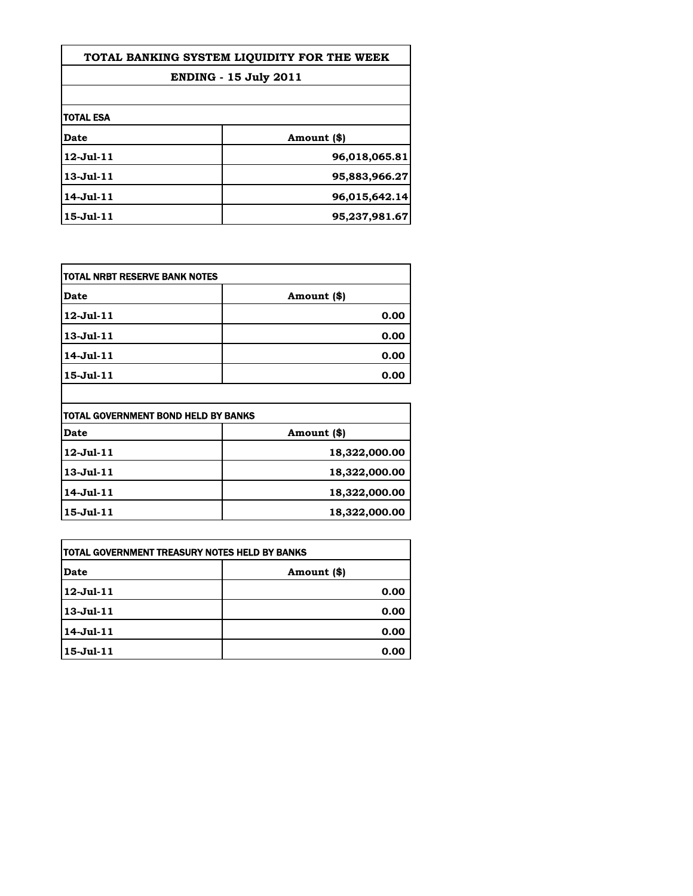| TOTAL BANKING SYSTEM LIQUIDITY FOR THE WEEK |               |
|---------------------------------------------|---------------|
| <b>ENDING - 15 July 2011</b>                |               |
|                                             |               |
| <b>TOTAL ESA</b>                            |               |
| <b>Date</b>                                 | Amount (\$)   |
| $12 - Jul - 11$                             | 96,018,065.81 |
| $13 - Jul - 11$                             | 95,883,966.27 |
| 14-Jul-11                                   | 96,015,642.14 |
| 15-Jul-11                                   | 95,237,981.67 |

| itotal NRBT RESERVE BANK NOTES |             |
|--------------------------------|-------------|
| Date                           | Amount (\$) |
| 12-Jul-11                      | 0.00        |
| 13-Jul-11                      | 0.00        |
| 14-Jul-11                      | 0.00        |
| 15-Jul-11                      | 0.00        |
|                                |             |

| TOTAL GOVERNMENT BOND HELD BY BANKS |               |
|-------------------------------------|---------------|
| <b>Date</b>                         | Amount (\$)   |
| 12-Jul-11                           | 18,322,000.00 |
| 13-Jul-11                           | 18,322,000.00 |
| 14-Jul-11                           | 18,322,000.00 |
| 15-Jul-11                           | 18,322,000.00 |

| <b>TOTAL GOVERNMENT TREASURY NOTES HELD BY BANKS</b> |             |
|------------------------------------------------------|-------------|
| <b>Date</b>                                          | Amount (\$) |
| 12-Jul-11                                            | 0.00        |
| 13-Jul-11                                            | 0.00        |
| 14-Jul-11                                            | 0.00        |
| 15-Jul-11                                            | 0.00        |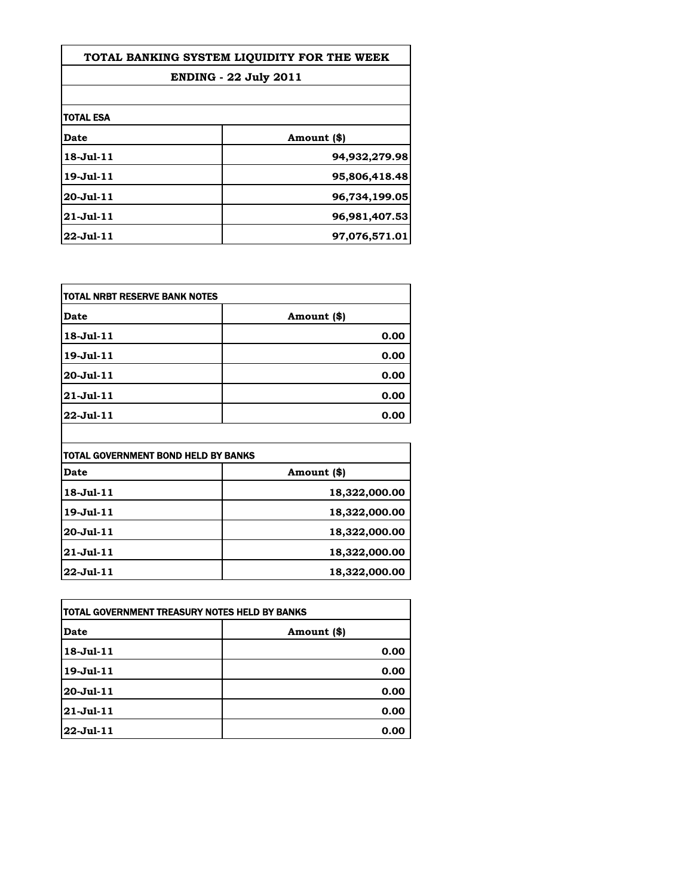| TOTAL BANKING SYSTEM LIOUIDITY FOR THE WEEK<br><b>ENDING - 22 July 2011</b> |               |
|-----------------------------------------------------------------------------|---------------|
|                                                                             |               |
| itotal esa                                                                  |               |
| Date                                                                        | Amount (\$)   |
| 18-Jul-11                                                                   | 94,932,279.98 |
| 19-Jul-11                                                                   | 95,806,418.48 |
| 20-Jul-11                                                                   | 96,734,199.05 |
| 21-Jul-11                                                                   | 96,981,407.53 |
| 22-Jul-11                                                                   | 97,076,571.01 |

| <b>TOTAL NRBT RESERVE BANK NOTES</b> |             |
|--------------------------------------|-------------|
| <b>Date</b>                          | Amount (\$) |
| 18-Jul-11                            | 0.00        |
| 19-Jul-11                            | 0.00        |
| 20-Jul-11                            | 0.00        |
| 21-Jul-11                            | 0.00        |
| 22-Jul-11                            | 0.00        |

| itotal Government Bond Held by Banks |               |
|--------------------------------------|---------------|
| Date                                 | Amount (\$)   |
| 18-Jul-11                            | 18,322,000.00 |
| 19-Jul-11                            | 18,322,000.00 |
| 20-Jul-11                            | 18,322,000.00 |
| 21-Jul-11                            | 18,322,000.00 |
| 22-Jul-11                            | 18,322,000.00 |

| ITOTAL GOVERNMENT TREASURY NOTES HELD BY BANKS |             |
|------------------------------------------------|-------------|
| Date                                           | Amount (\$) |
| 18-Jul-11                                      | 0.00        |
| 19-Jul-11                                      | 0.00        |
| 20-Jul-11                                      | 0.00        |
| 21-Jul-11                                      | 0.00        |
| 22-Jul-11                                      | 0.00        |